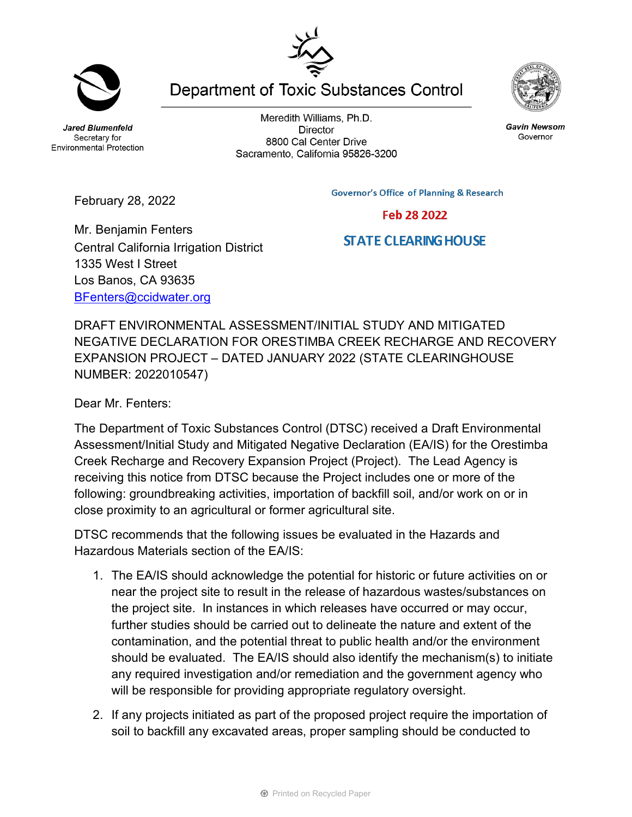**Jared Blumenfeld** Secretary for **Environmental Protection** 

**Director** 8800 Cal Center Drive Sacramento, California 95826-3200

**Governor's Office of Planning & Research** 

**Department of Toxic Substances Control** 

Meredith Williams, Ph.D.

February 28, 2022

Central California Irrigation District

Mr. Benjamin Fenters

1335 West I Street Los Banos, CA 93635 [BFenters@ccidwater.org](mailto:BFenters@ccidwater.org)

DRAFT ENVIRONMENTAL ASSESSMENT/INITIAL STUDY AND MITIGATED NEGATIVE DECLARATION FOR ORESTIMBA CREEK RECHARGE AND RECOVERY EXPANSION PROJECT – DATED JANUARY 2022 (STATE CLEARINGHOUSE NUMBER: 2022010547)

Dear Mr. Fenters:

The Department of Toxic Substances Control (DTSC) received a Draft Environmental Assessment/Initial Study and Mitigated Negative Declaration (EA/IS) for the Orestimba Creek Recharge and Recovery Expansion Project (Project). The Lead Agency is receiving this notice from DTSC because the Project includes one or more of the following: groundbreaking activities, importation of backfill soil, and/or work on or in close proximity to an agricultural or former agricultural site.

DTSC recommends that the following issues be evaluated in the Hazards and Hazardous Materials section of the EA/IS:

- 1. The EA/IS should acknowledge the potential for historic or future activities on or near the project site to result in the release of hazardous wastes/substances on the project site. In instances in which releases have occurred or may occur, further studies should be carried out to delineate the nature and extent of the contamination, and the potential threat to public health and/or the environment should be evaluated. The EA/IS should also identify the mechanism(s) to initiate any required investigation and/or remediation and the government agency who will be responsible for providing appropriate regulatory oversight.
- 2. If any projects initiated as part of the proposed project require the importation of soil to backfill any excavated areas, proper sampling should be conducted to

**Gavin Newsom** Governor

Feb 28 2022



## **STATE CLEARING HOUSE**